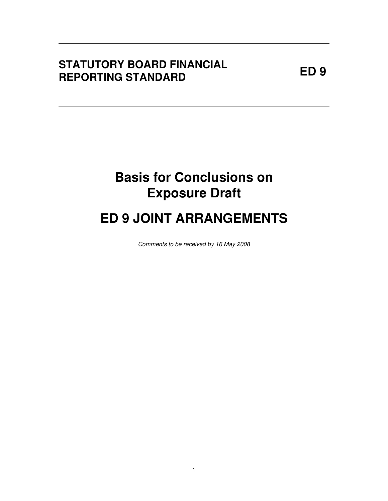## **ED 9 STATUTORY BOARD FINANCIAL REPORTING STANDARD**

## **Basis for Conclusions on Exposure Draft**

# **ED 9 JOINT ARRANGEMENTS**

Comments to be received by 16 May 2008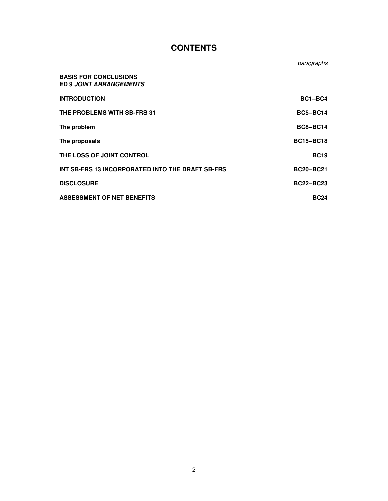### **CONTENTS**

|                                                                | paragraphs       |
|----------------------------------------------------------------|------------------|
| <b>BASIS FOR CONCLUSIONS</b><br><b>ED 9 JOINT ARRANGEMENTS</b> |                  |
| <b>INTRODUCTION</b>                                            | BC1-BC4          |
| THE PROBLEMS WITH SB-FRS 31                                    | <b>BC5-BC14</b>  |
| The problem                                                    | <b>BC8-BC14</b>  |
| The proposals                                                  | <b>BC15-BC18</b> |
| THE LOSS OF JOINT CONTROL                                      | <b>BC19</b>      |
| INT SB-FRS 13 INCORPORATED INTO THE DRAFT SB-FRS               | <b>BC20-BC21</b> |
| <b>DISCLOSURE</b>                                              | <b>BC22-BC23</b> |
| ASSESSMENT OF NET BENEFITS                                     | <b>BC24</b>      |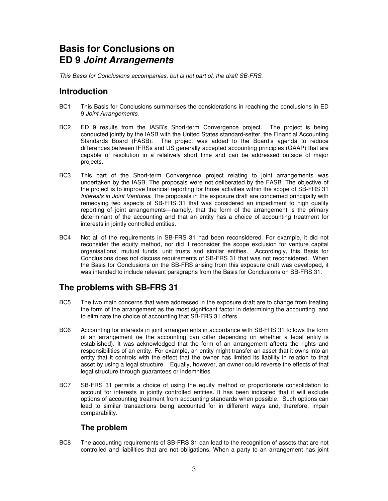### **Basis for Conclusions on ED 9 Joint Arrangements**

This Basis for Conclusions accompanies, but is not part of, the draft SB-FRS.

#### **Introduction**

- BC1 This Basis for Conclusions summarises the considerations in reaching the conclusions in ED 9 Joint Arrangements.
- BC2 ED 9 results from the IASB's Short-term Convergence project. The project is being conducted jointly by the IASB with the United States standard-setter, the Financial Accounting Standards Board (FASB). The project was added to the Board's agenda to reduce differences between IFRSs and US generally accepted accounting principles (GAAP) that are capable of resolution in a relatively short time and can be addressed outside of major projects.
- BC3 This part of the Short-term Convergence project relating to joint arrangements was undertaken by the IASB. The proposals were not deliberated by the FASB. The objective of the project is to improve financial reporting for those activities within the scope of SB-FRS 31 Interests in Joint Ventures. The proposals in the exposure draft are concerned principally with remedying two aspects of SB-FRS 31 that was considered an impediment to high quality reporting of joint arrangements—namely, that the form of the arrangement is the primary determinant of the accounting and that an entity has a choice of accounting treatment for interests in jointly controlled entities.
- BC4 Not all of the requirements in SB-FRS 31 had been reconsidered. For example, it did not reconsider the equity method, nor did it reconsider the scope exclusion for venture capital organisations, mutual funds, unit trusts and similar entities. Accordingly, this Basis for Conclusions does not discuss requirements of SB-FRS 31 that was not reconsidered. When the Basis for Conclusions on the SB-FRS arising from this exposure draft was developed, it was intended to include relevant paragraphs from the Basis for Conclusions on SB-FRS 31.

#### **The problems with SB-FRS 31**

- BC5 The two main concerns that were addressed in the exposure draft are to change from treating the form of the arrangement as the most significant factor in determining the accounting, and to eliminate the choice of accounting that SB-FRS 31 offers.
- BC6 Accounting for interests in joint arrangements in accordance with SB-FRS 31 follows the form of an arrangement (ie the accounting can differ depending on whether a legal entity is established). It was acknowledged that the form of an arrangement affects the rights and responsibilities of an entity. For example, an entity might transfer an asset that it owns into an entity that it controls with the effect that the owner has limited its liability in relation to that asset by using a legal structure. Equally, however, an owner could reverse the effects of that legal structure through guarantees or indemnities.
- BC7 SB-FRS 31 permits a choice of using the equity method or proportionate consolidation to account for interests in jointly controlled entities. It has been indicated that it will exclude options of accounting treatment from accounting standards when possible. Such options can lead to similar transactions being accounted for in different ways and, therefore, impair comparability.

#### **The problem**

BC8 The accounting requirements of SB-FRS 31 can lead to the recognition of assets that are not controlled and liabilities that are not obligations. When a party to an arrangement has joint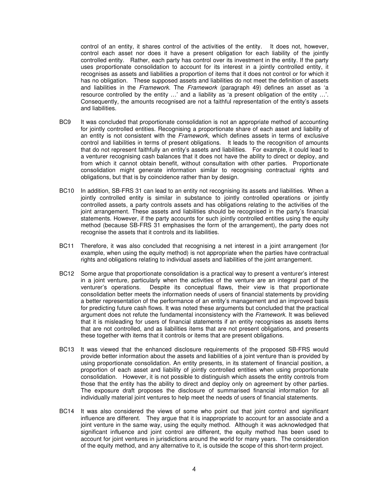control of an entity, it shares control of the activities of the entity. It does not, however, control each asset nor does it have a present obligation for each liability of the jointly controlled entity. Rather, each party has control over its investment in the entity. If the party uses proportionate consolidation to account for its interest in a jointly controlled entity, it recognises as assets and liabilities a proportion of items that it does not control or for which it has no obligation. These supposed assets and liabilities do not meet the definition of assets and liabilities in the Framework. The Framework (paragraph 49) defines an asset as 'a resource controlled by the entity …' and a liability as 'a present obligation of the entity …'. Consequently, the amounts recognised are not a faithful representation of the entity's assets and liabilities.

- BC9 It was concluded that proportionate consolidation is not an appropriate method of accounting for jointly controlled entities. Recognising a proportionate share of each asset and liability of an entity is not consistent with the Framework, which defines assets in terms of exclusive control and liabilities in terms of present obligations. It leads to the recognition of amounts that do not represent faithfully an entity's assets and liabilities. For example, it could lead to a venturer recognising cash balances that it does not have the ability to direct or deploy, and from which it cannot obtain benefit, without consultation with other parties. Proportionate consolidation might generate information similar to recognising contractual rights and obligations, but that is by coincidence rather than by design.
- BC10 In addition, SB-FRS 31 can lead to an entity not recognising its assets and liabilities. When a jointly controlled entity is similar in substance to jointly controlled operations or jointly controlled assets, a party controls assets and has obligations relating to the activities of the joint arrangement. These assets and liabilities should be recognised in the party's financial statements. However, if the party accounts for such jointly controlled entities using the equity method (because SB-FRS 31 emphasises the form of the arrangement), the party does not recognise the assets that it controls and its liabilities.
- BC11 Therefore, it was also concluded that recognising a net interest in a joint arrangement (for example, when using the equity method) is not appropriate when the parties have contractual rights and obligations relating to individual assets and liabilities of the joint arrangement.
- BC12 Some argue that proportionate consolidation is a practical way to present a venturer's interest in a joint venture, particularly when the activities of the venture are an integral part of the venturer's operations. Despite its conceptual flaws, their view is that proportionate consolidation better meets the information needs of users of financial statements by providing a better representation of the performance of an entity's management and an improved basis for predicting future cash flows. It was noted these arguments but concluded that the practical argument does not refute the fundamental inconsistency with the Framework. It was believed that it is misleading for users of financial statements if an entity recognises as assets items that are not controlled, and as liabilities items that are not present obligations, and presents these together with items that it controls or items that are present obligations.
- BC13 It was viewed that the enhanced disclosure requirements of the proposed SB-FRS would provide better information about the assets and liabilities of a joint venture than is provided by using proportionate consolidation. An entity presents, in its statement of financial position, a proportion of each asset and liability of jointly controlled entities when using proportionate consolidation. However, it is not possible to distinguish which assets the entity controls from those that the entity has the ability to direct and deploy only on agreement by other parties. The exposure draft proposes the disclosure of summarised financial information for all individually material joint ventures to help meet the needs of users of financial statements.
- BC14 It was also considered the views of some who point out that joint control and significant influence are different. They argue that it is inappropriate to account for an associate and a joint venture in the same way, using the equity method. Although it was acknowledged that significant influence and joint control are different, the equity method has been used to account for joint ventures in jurisdictions around the world for many years. The consideration of the equity method, and any alternative to it, is outside the scope of this short-term project.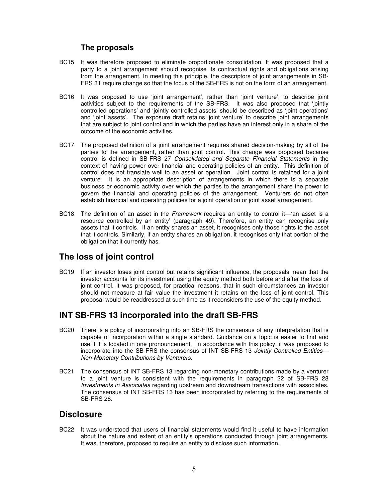#### **The proposals**

- BC15 It was therefore proposed to eliminate proportionate consolidation. It was proposed that a party to a joint arrangement should recognise its contractual rights and obligations arising from the arrangement. In meeting this principle, the descriptors of joint arrangements in SB-FRS 31 require change so that the focus of the SB-FRS is not on the form of an arrangement.
- BC16 It was proposed to use 'joint arrangement', rather than 'joint venture', to describe joint activities subject to the requirements of the SB-FRS. It was also proposed that 'jointly controlled operations' and 'jointly controlled assets' should be described as 'joint operations' and 'joint assets'. The exposure draft retains 'joint venture' to describe joint arrangements that are subject to joint control and in which the parties have an interest only in a share of the outcome of the economic activities.
- BC17 The proposed definition of a joint arrangement requires shared decision-making by all of the parties to the arrangement, rather than joint control. This change was proposed because control is defined in SB-FRS 27 Consolidated and Separate Financial Statements in the context of having power over financial and operating policies of an entity. This definition of control does not translate well to an asset or operation. Joint control is retained for a joint venture. It is an appropriate description of arrangements in which there is a separate business or economic activity over which the parties to the arrangement share the power to govern the financial and operating policies of the arrangement. Venturers do not often establish financial and operating policies for a joint operation or joint asset arrangement.
- BC18 The definition of an asset in the *Framework* requires an entity to control it—'an asset is a resource controlled by an entity' (paragraph 49). Therefore, an entity can recognise only assets that it controls. If an entity shares an asset, it recognises only those rights to the asset that it controls. Similarly, if an entity shares an obligation, it recognises only that portion of the obligation that it currently has.

#### **The loss of joint control**

BC19 If an investor loses joint control but retains significant influence, the proposals mean that the investor accounts for its investment using the equity method both before and after the loss of joint control. It was proposed, for practical reasons, that in such circumstances an investor should not measure at fair value the investment it retains on the loss of joint control. This proposal would be readdressed at such time as it reconsiders the use of the equity method.

#### **INT SB-FRS 13 incorporated into the draft SB-FRS**

- BC20 There is a policy of incorporating into an SB-FRS the consensus of any interpretation that is capable of incorporation within a single standard. Guidance on a topic is easier to find and use if it is located in one pronouncement. In accordance with this policy, it was proposed to incorporate into the SB-FRS the consensus of INT SB-FRS 13 Jointly Controlled Entities-Non-Monetary Contributions by Venturers.
- BC21 The consensus of INT SB-FRS 13 regarding non-monetary contributions made by a venturer to a joint venture is consistent with the requirements in paragraph 22 of SB-FRS 28 Investments in Associates regarding upstream and downstream transactions with associates. The consensus of INT SB-FRS 13 has been incorporated by referring to the requirements of SB-FRS 28.

#### **Disclosure**

BC22 It was understood that users of financial statements would find it useful to have information about the nature and extent of an entity's operations conducted through joint arrangements. It was, therefore, proposed to require an entity to disclose such information.